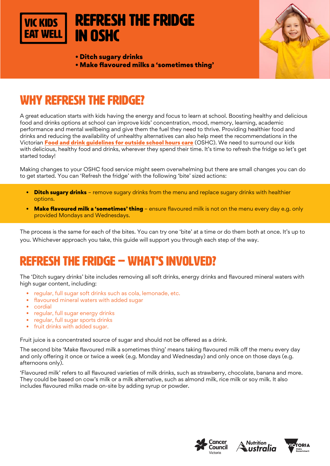

• Ditch sugary drinks • Make flavoured milks a 'sometimes thing'



## WHY REFRESH THE FRIDGE?

A great education starts with kids having the energy and focus to learn at school. Boosting healthy and delicious food and drinks options at school can improve kids' concentration, mood, memory, learning, academic performance and mental wellbeing and give them the fuel they need to thrive. Providing healthier food and drinks and reducing the availability of unhealthy alternatives can also help meet the recommendations in the Victorian [Food and drink guidelines for outside school hours care](https://heas.health.vic.gov.au/early-childhood-services/menu-planning/OSHC/guidelines) (OSHC). We need to surround our kids with delicious, healthy food and drinks, wherever they spend their time. It's time to refresh the fridge so let's get started today!

Making changes to your OSHC food service might seem overwhelming but there are small changes you can do to get started. You can 'Refresh the fridge' with the following 'bite' sized actions:

- **Ditch sugary drinks** remove sugary drinks from the menu and replace sugary drinks with healthier options.
- Make flavoured milk a 'sometimes' thing ensure flavoured milk is not on the menu every day e.g. only provided Mondays and Wednesdays.

The process is the same for each of the bites. You can try one 'bite' at a time or do them both at once. It's up to you. Whichever approach you take, this guide will support you through each step of the way.

## REFRESH THE FRIDGE – WHAT'S INVOLVED?

The 'Ditch sugary drinks' bite includes removing all soft drinks, energy drinks and flavoured mineral waters with high sugar content, including:

- regular, full sugar soft drinks such as cola, lemonade, etc.
- flavoured mineral waters with added sugar
- cordial
- regular, full sugar energy drinks
- regular, full sugar sports drinks
- fruit drinks with added sugar.

Fruit juice is a concentrated source of sugar and should not be offered as a drink.

The second bite 'Make flavoured milk a sometimes thing' means taking flavoured milk off the menu every day and only offering it once or twice a week (e.g. Monday and Wednesday) and only once on those days (e.g. afternoons only).

'Flavoured milk' refers to all flavoured varieties of milk drinks, such as strawberry, chocolate, banana and more. They could be based on cow's milk or a milk alternative, such as almond milk, rice milk or soy milk. It also includes flavoured milks made on-site by adding syrup or powder.





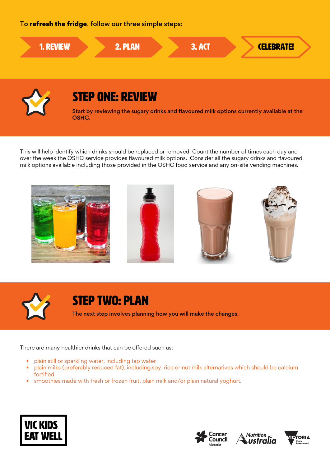### To refresh the fridge, follow our three simple steps:



This will help identify which drinks should be replaced or removed. Count the number of times each day and over the week the OSHC service provides flavoured milk options. Consider all the sugary drinks and flavoured milk options available including those provided in the OSHC food service and any on-site vending machines.



### STEP TWO: PLAN

The next step involves planning how you will make the changes.

There are many healthier drinks that can be offered such as:

- plain still or sparkling water, including tap water
- plain milks (preferably reduced fat), including soy, rice or nut milk alternatives which should be calcium fortified
- smoothies made with fresh or frozen fruit, plain milk and/or plain natural yoghurt.







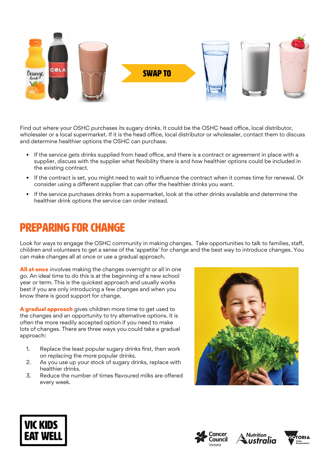

Find out where your OSHC purchases its sugary drinks. It could be the OSHC head office, local distributor, wholesaler or a local supermarket. If it is the head office, local distributor or wholesaler, contact them to discuss and determine healthier options the OSHC can purchase.

- If the service gets drinks supplied from head office, and there is a contract or agreement in place with a supplier, discuss with the supplier what flexibility there is and how healthier options could be included in the existing contract.
- If the contract is set, you might need to wait to influence the contract when it comes time for renewal. Or consider using a different supplier that can offer the healthier drinks you want.
- If the service purchases drinks from a supermarket, look at the other drinks available and determine the healthier drink options the service can order instead.

## Preparing for change

Look for ways to engage the OSHC community in making changes. Take opportunities to talk to families, staff, children and volunteers to get a sense of the 'appetite' for change and the best way to introduce changes. You can make changes all at once or use a gradual approach.

All at once involves making the changes overnight or all in one go. An ideal time to do this is at the beginning of a new school year or term. This is the quickest approach and usually works best if you are only introducing a few changes and when you know there is good support for change.

A gradual approach gives children more time to get used to the changes and an opportunity to try alternative options. It is often the more readily accepted option if you need to make lots of changes. There are three ways you could take a gradual approach:

- 1. Replace the least popular sugary drinks first, then work on replacing the more popular drinks.
- 2. As you use up your stock of sugary drinks, replace with healthier drinks.
- 3. Reduce the number of times flavoured milks are offered every week.









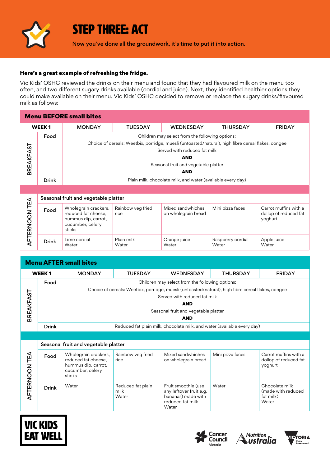

### STEP THREE: ACT

Now you've done all the groundwork, it's time to put it into action.

#### Here's a great example of refreshing the fridge.

Vic Kids' OSHC reviewed the drinks on their menu and found that they had flavoured milk on the menu too often, and two different sugary drinks available (cordial and juice). Next, they identified healthier options they could make available on their menu. Vic Kids' OSHC decided to remove or replace the sugary drinks/flavoured milk as follows:

| <b>Menu BEFORE small bites</b> |                   |                                                                                                                                                                                                                                                           |                |                                                             |                 |               |
|--------------------------------|-------------------|-----------------------------------------------------------------------------------------------------------------------------------------------------------------------------------------------------------------------------------------------------------|----------------|-------------------------------------------------------------|-----------------|---------------|
|                                | WEEK <sub>1</sub> | <b>MONDAY</b>                                                                                                                                                                                                                                             | <b>TUESDAY</b> | <b>WEDNESDAY</b>                                            | <b>THURSDAY</b> | <b>FRIDAY</b> |
| <b>BREAKFAST</b>               | Food              | Children may select from the following options:<br>Choice of cereals: Weetbix, porridge, muesli (untoasted/natural), high fibre cereal flakes, congee<br>Served with reduced fat milk<br><b>AND</b><br>Seasonal fruit and vegetable platter<br><b>AND</b> |                |                                                             |                 |               |
|                                | <b>Drink</b>      |                                                                                                                                                                                                                                                           |                | Plain milk, chocolate milk, and water (available every day) |                 |               |
|                                |                   |                                                                                                                                                                                                                                                           |                |                                                             |                 |               |

| ◁<br>ш<br>⊢<br>ğ<br>$\alpha$<br>ш | Seasonal fruit and vegetable platter |                                                                                                  |                           |                                          |                            |                                                           |
|-----------------------------------|--------------------------------------|--------------------------------------------------------------------------------------------------|---------------------------|------------------------------------------|----------------------------|-----------------------------------------------------------|
|                                   | Food                                 | Wholegrain crackers,<br>reduced fat cheese,<br>hummus dip, carrot,<br>cucumber, celery<br>sticks | Rainbow veg fried<br>rice | Mixed sandwhiches<br>on wholegrain bread | Mini pizza faces           | Carrot muffins with a<br>dollop of reduced fat<br>yoghurt |
|                                   | <b>Drink</b>                         | Lime cordial<br>Water                                                                            | Plain milk<br>Water       | Orange juice<br>Water                    | Raspberry cordial<br>Water | Apple juice<br>Water                                      |

|                  | Seasonal fruit and vegetable platter |                                                                                                    |                           |                                                 |                            |                                                           |
|------------------|--------------------------------------|----------------------------------------------------------------------------------------------------|---------------------------|-------------------------------------------------|----------------------------|-----------------------------------------------------------|
| AFTERNOON TEA    | Food                                 | Wholegrain crackers,<br>reduced fat cheese.<br>hummus dip, carrot,<br>cucumber, celery<br>sticks   | Rainbow veg fried<br>rice | Mixed sandwhiches<br>on wholegrain bread        | Mini pizza faces           | Carrot muffins with a<br>dollop of reduced fat<br>yoghurt |
|                  | <b>Drink</b>                         | Lime cordial<br>Water                                                                              | Plain milk<br>Water       | Orange juice<br>Water                           | Raspberry cordial<br>Water | Apple juice<br>Water                                      |
|                  |                                      |                                                                                                    |                           |                                                 |                            |                                                           |
|                  |                                      | <b>Menu AFTER small bites</b>                                                                      |                           |                                                 |                            |                                                           |
|                  | <b>WEEK1</b>                         | <b>MONDAY</b>                                                                                      | <b>TUESDAY</b>            | <b>WEDNESDAY</b>                                | <b>THURSDAY</b>            | <b>FRIDAY</b>                                             |
|                  | Food                                 |                                                                                                    |                           | Children may select from the following options: |                            |                                                           |
|                  |                                      | Choice of cereals: Weetbix, porridge, muesli (untoasted/natural), high fibre cereal flakes, congee |                           |                                                 |                            |                                                           |
| <b>BREAKFAST</b> |                                      | Served with reduced fat milk                                                                       |                           |                                                 |                            |                                                           |
|                  |                                      |                                                                                                    |                           | <b>AND</b>                                      |                            |                                                           |
|                  |                                      |                                                                                                    |                           | Seasonal fruit and vegetable platter            |                            |                                                           |
|                  |                                      | <b>AND</b>                                                                                         |                           |                                                 |                            |                                                           |
|                  | <b>Drink</b>                         | Reduced fat plain milk, chocolate milk, and water (available every day)                            |                           |                                                 |                            |                                                           |
|                  |                                      |                                                                                                    |                           |                                                 |                            |                                                           |
|                  | Seasonal fruit and vegetable platter |                                                                                                    |                           |                                                 |                            |                                                           |
| <b>NOONTEA</b>   | Food                                 | Wholegrain crackers,<br>reduced fat cheese,<br>hummus dip, carrot,<br>cucumber, celery<br>sticks   | Rainbow veg fried<br>rice | Mixed sandwhiches<br>on wholegrain bread        | Mini pizza faces           | Carrot muffins with a<br>dollop of reduced fat<br>yoghurt |
|                  |                                      |                                                                                                    |                           |                                                 |                            |                                                           |









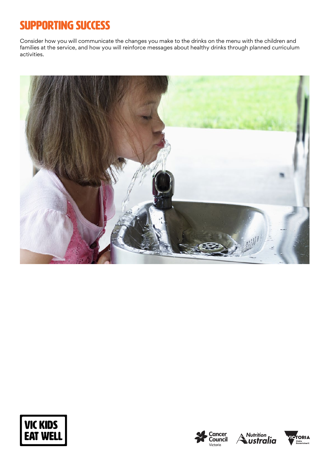# SUPPORTING SUCCESS

Consider how you will communicate the changes you make to the drinks on the menu with the children and families at the service, and how you will reinforce messages about healthy drinks through planned curriculum activities.